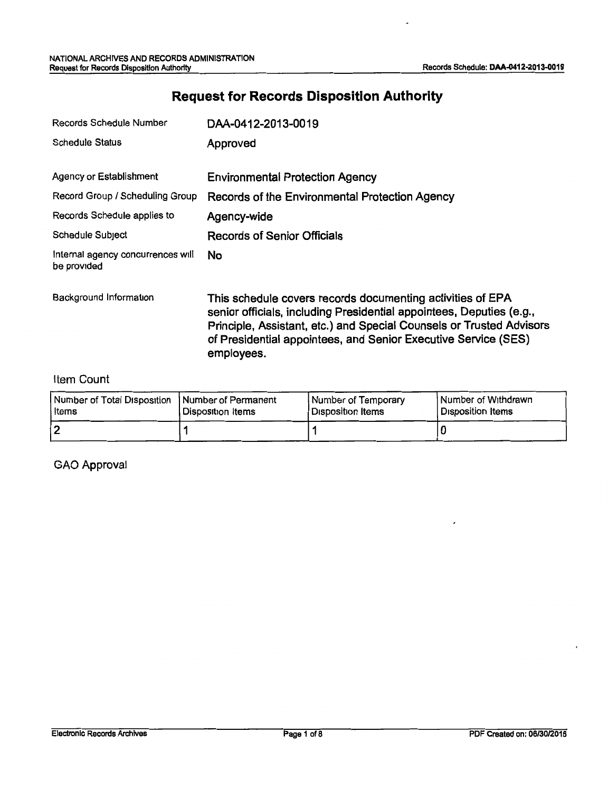# **Request for Records Disposition Authority**

| Records Schedule Number                          | DAA-0412-2013-0019                                                                                                                                                                                                                                                                         |
|--------------------------------------------------|--------------------------------------------------------------------------------------------------------------------------------------------------------------------------------------------------------------------------------------------------------------------------------------------|
| <b>Schedule Status</b>                           | Approved                                                                                                                                                                                                                                                                                   |
| Agency or Establishment                          | <b>Environmental Protection Agency</b>                                                                                                                                                                                                                                                     |
| Record Group / Scheduling Group                  | Records of the Environmental Protection Agency                                                                                                                                                                                                                                             |
| Records Schedule applies to                      | Agency-wide                                                                                                                                                                                                                                                                                |
| Schedule Subject                                 | Records of Senior Officials                                                                                                                                                                                                                                                                |
| internal agency concurrences will<br>be provided | No.                                                                                                                                                                                                                                                                                        |
| Background Information                           | This schedule covers records documenting activities of EPA<br>senior officials, including Presidential appointees, Deputies (e.g.,<br>Principle, Assistant, etc.) and Special Counsels or Trusted Advisors<br>of Presidential appointees, and Senior Executive Service (SES)<br>employees. |

#### Item Count

| Number of Total Disposition   Number of Permanent | l Disposition Items | <b>Number of Temporary</b> | Number of Withdrawn |
|---------------------------------------------------|---------------------|----------------------------|---------------------|
| l Items                                           |                     | Disposition Items          | l Disposition Items |
|                                                   |                     |                            |                     |

GAO Approval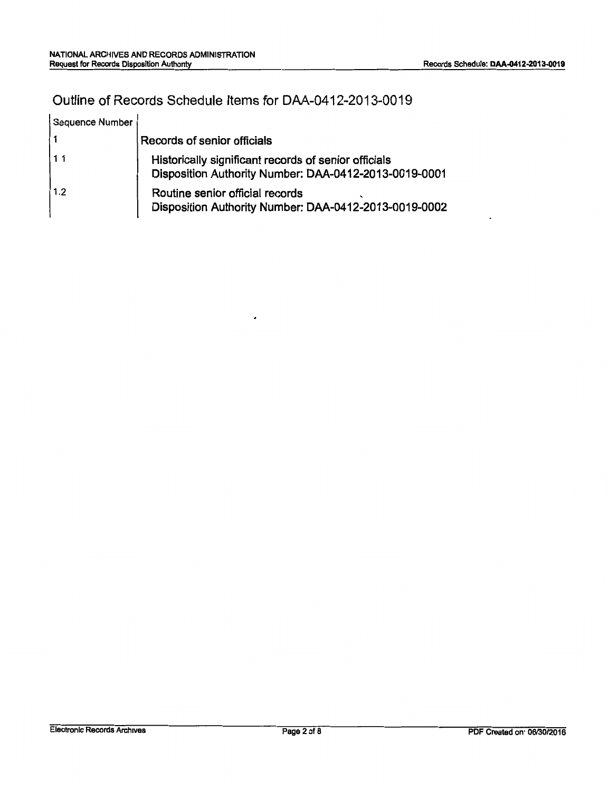## Outline of Records Schedule Items for DAA-0412-2013-0019

| Sequence Number |                                                                                                               |
|-----------------|---------------------------------------------------------------------------------------------------------------|
|                 | Records of senior officials                                                                                   |
| 111             | Historically significant records of senior officials<br>Disposition Authority Number: DAA-0412-2013-0019-0001 |
| 1.2             | Routine senior official records<br>Disposition Authority Number: DAA-0412-2013-0019-0002                      |

 $\overline{\phantom{a}}$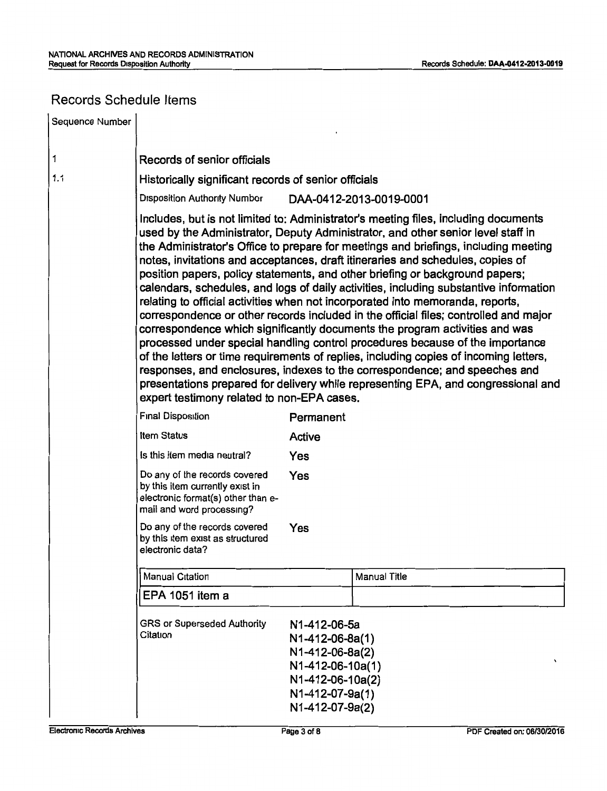### Records Schedule Items

| Sequence Number |                                                                                                                                                                                                                                                                                                                                                                                                                                                                                                                                                                                                                                                                                                                                                                                                                                                                                                                                                                                                                                                                                                                                                                               |                                                                                                                                  |                         |
|-----------------|-------------------------------------------------------------------------------------------------------------------------------------------------------------------------------------------------------------------------------------------------------------------------------------------------------------------------------------------------------------------------------------------------------------------------------------------------------------------------------------------------------------------------------------------------------------------------------------------------------------------------------------------------------------------------------------------------------------------------------------------------------------------------------------------------------------------------------------------------------------------------------------------------------------------------------------------------------------------------------------------------------------------------------------------------------------------------------------------------------------------------------------------------------------------------------|----------------------------------------------------------------------------------------------------------------------------------|-------------------------|
| 1               | Records of senior officials                                                                                                                                                                                                                                                                                                                                                                                                                                                                                                                                                                                                                                                                                                                                                                                                                                                                                                                                                                                                                                                                                                                                                   |                                                                                                                                  |                         |
| 1.1             | Historically significant records of senior officials                                                                                                                                                                                                                                                                                                                                                                                                                                                                                                                                                                                                                                                                                                                                                                                                                                                                                                                                                                                                                                                                                                                          |                                                                                                                                  |                         |
|                 | <b>Disposition Authority Number</b>                                                                                                                                                                                                                                                                                                                                                                                                                                                                                                                                                                                                                                                                                                                                                                                                                                                                                                                                                                                                                                                                                                                                           |                                                                                                                                  | DAA-0412-2013-0019-0001 |
|                 | Includes, but is not limited to: Administrator's meeting files, including documents<br>used by the Administrator, Deputy Administrator, and other senior level staff in<br>the Administrator's Office to prepare for meetings and briefings, including meeting<br>notes, invitations and acceptances, draft itineraries and schedules, copies of<br>position papers, policy statements, and other briefing or background papers;<br>calendars, schedules, and logs of daily activities, including substantive information<br>relating to official activities when not incorporated into memoranda, reports,<br>correspondence or other records included in the official files; controlled and major<br>correspondence which significantly documents the program activities and was<br>processed under special handling control procedures because of the importance<br>of the letters or time requirements of replies, including copies of incoming letters,<br>responses, and enclosures, indexes to the correspondence; and speeches and<br>presentations prepared for delivery while representing EPA, and congressional and<br>expert testimony related to non-EPA cases. |                                                                                                                                  |                         |
|                 | Final Disposition<br>Permanent                                                                                                                                                                                                                                                                                                                                                                                                                                                                                                                                                                                                                                                                                                                                                                                                                                                                                                                                                                                                                                                                                                                                                |                                                                                                                                  |                         |
|                 | <b>Item Status</b>                                                                                                                                                                                                                                                                                                                                                                                                                                                                                                                                                                                                                                                                                                                                                                                                                                                                                                                                                                                                                                                                                                                                                            | Active                                                                                                                           |                         |
|                 | Is this item media neutral?                                                                                                                                                                                                                                                                                                                                                                                                                                                                                                                                                                                                                                                                                                                                                                                                                                                                                                                                                                                                                                                                                                                                                   | Yes                                                                                                                              |                         |
|                 | Do any of the records covered<br>by this item currently exist in<br>electronic format(s) other than e-<br>mail and word processing?                                                                                                                                                                                                                                                                                                                                                                                                                                                                                                                                                                                                                                                                                                                                                                                                                                                                                                                                                                                                                                           | Yes                                                                                                                              |                         |
|                 | Do any of the records covered<br>by this item exist as structured<br>electronic data?                                                                                                                                                                                                                                                                                                                                                                                                                                                                                                                                                                                                                                                                                                                                                                                                                                                                                                                                                                                                                                                                                         | Yes                                                                                                                              |                         |
|                 | <b>Manual Citation</b>                                                                                                                                                                                                                                                                                                                                                                                                                                                                                                                                                                                                                                                                                                                                                                                                                                                                                                                                                                                                                                                                                                                                                        |                                                                                                                                  | Manual Title            |
|                 | EPA 1051 item a                                                                                                                                                                                                                                                                                                                                                                                                                                                                                                                                                                                                                                                                                                                                                                                                                                                                                                                                                                                                                                                                                                                                                               |                                                                                                                                  |                         |
|                 | <b>GRS or Superseded Authority</b><br>Citation                                                                                                                                                                                                                                                                                                                                                                                                                                                                                                                                                                                                                                                                                                                                                                                                                                                                                                                                                                                                                                                                                                                                | N1-412-06-5a<br>N1-412-06-8a(1)<br>N1-412-06-8a(2)<br>N1-412-06-10a(1)<br>N1-412-06-10a(2)<br>N1-412-07-9a(1)<br>N1-412-07-9a(2) |                         |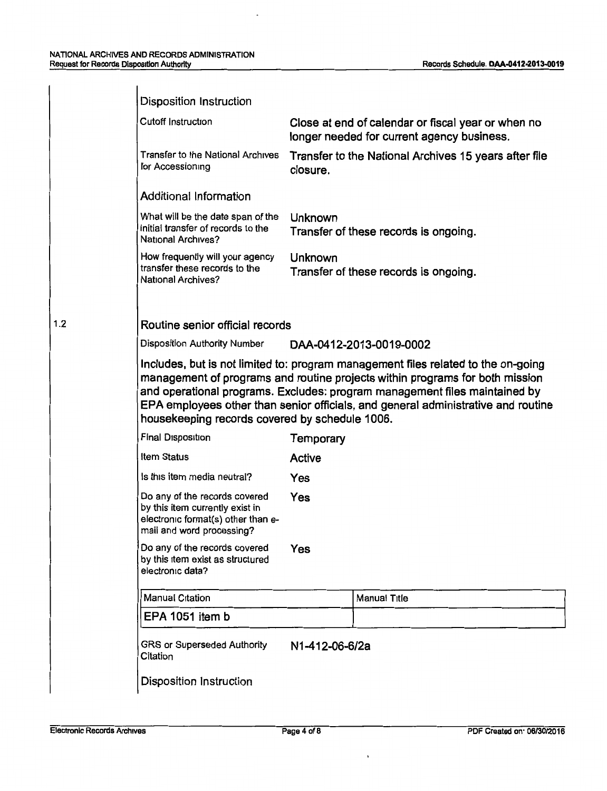$\overline{\phantom{a}}$ 

| <b>Disposition Instruction</b>                                                                                                      |                                                                                                                                                                                                                                                                                                                                                        |
|-------------------------------------------------------------------------------------------------------------------------------------|--------------------------------------------------------------------------------------------------------------------------------------------------------------------------------------------------------------------------------------------------------------------------------------------------------------------------------------------------------|
| <b>Cutoff Instruction</b>                                                                                                           | Close at end of calendar or fiscal year or when no<br>longer needed for current agency business.                                                                                                                                                                                                                                                       |
| <b>Transfer to the National Archives</b><br>for Accessioning                                                                        | Transfer to the National Archives 15 years after file<br>closure.                                                                                                                                                                                                                                                                                      |
| <b>Additional Information</b>                                                                                                       |                                                                                                                                                                                                                                                                                                                                                        |
| What will be the date span of the<br>initial transfer of records to the<br>National Archives?                                       | Unknown<br>Transfer of these records is ongoing.                                                                                                                                                                                                                                                                                                       |
| How frequently will your agency<br>transfer these records to the<br><b>National Archives?</b>                                       | Unknown<br>Transfer of these records is ongoing.                                                                                                                                                                                                                                                                                                       |
| Routine senior official records                                                                                                     |                                                                                                                                                                                                                                                                                                                                                        |
| Disposition Authority Number                                                                                                        | DAA-0412-2013-0019-0002                                                                                                                                                                                                                                                                                                                                |
|                                                                                                                                     |                                                                                                                                                                                                                                                                                                                                                        |
| housekeeping records covered by schedule 1006.<br>Final Disposition                                                                 |                                                                                                                                                                                                                                                                                                                                                        |
| <b>Item Status</b>                                                                                                                  | Temporary                                                                                                                                                                                                                                                                                                                                              |
| Is this item media neutral?                                                                                                         | Active<br>Yes                                                                                                                                                                                                                                                                                                                                          |
| Do any of the records covered<br>by this item currently exist in<br>electronic format(s) other than e-<br>mail and word processing? | Yes                                                                                                                                                                                                                                                                                                                                                    |
| Do any of the records covered<br>by this item exist as structured<br>electronic data?                                               | Yes                                                                                                                                                                                                                                                                                                                                                    |
| <b>Manual Citation</b>                                                                                                              | Manual Title                                                                                                                                                                                                                                                                                                                                           |
| EPA 1051 item b                                                                                                                     |                                                                                                                                                                                                                                                                                                                                                        |
| GRS or Superseded Authority<br>Citation                                                                                             | Includes, but is not limited to: program management files related to the on-going<br>management of programs and routine projects within programs for both mission<br>and operational programs. Excludes: program management files maintained by<br>EPA employees other than senior officials, and general administrative and routine<br>N1-412-06-6/2a |
| Disposition Instruction                                                                                                             |                                                                                                                                                                                                                                                                                                                                                        |

1.2

 $\ddot{\phantom{a}}$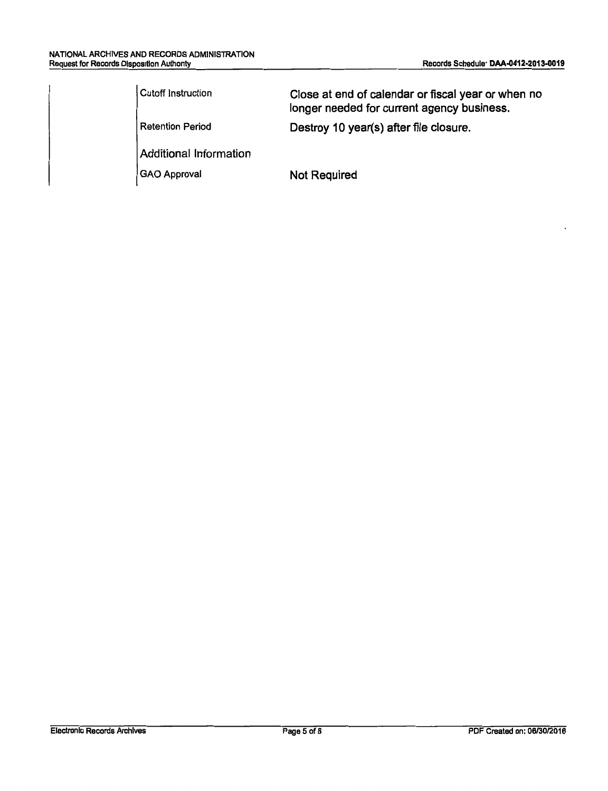| Cutoff Instruction      | Close at end of calendar or fiscal year or when no<br>longer needed for current agency business. |
|-------------------------|--------------------------------------------------------------------------------------------------|
| <b>Retention Period</b> | Destroy 10 year(s) after file closure.                                                           |
| Additional Information  |                                                                                                  |
| GAO Approval            | <b>Not Required</b>                                                                              |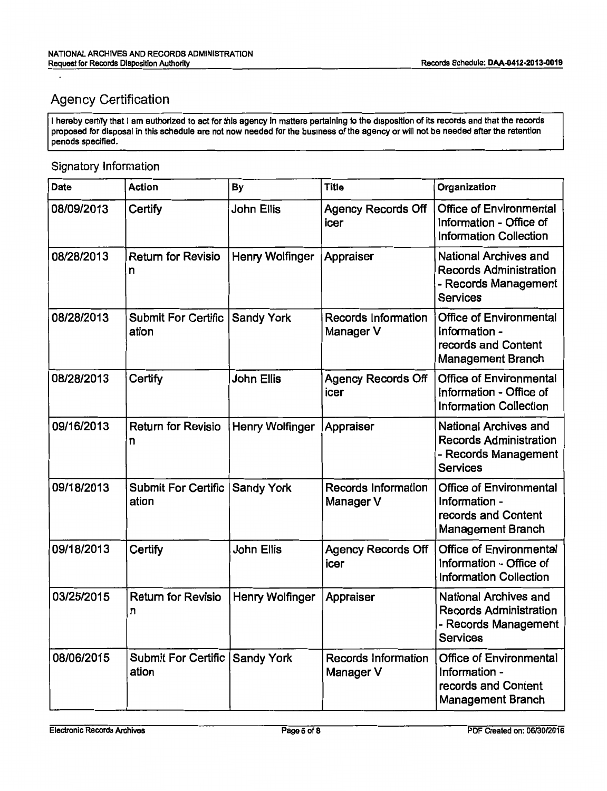# Agency Certification

 $\overline{a}$ 

I hereby certify that I am authorized to act for this agency in matters pertaining to the disposition of its records and that the records proposed for disposal in this schedule are not now needed for the business of the agency or will not be needed after the retention periods specified.

#### Signatory Information

| Date       | <b>Action</b>                                    | <b>By</b>         | <b>Title</b>                            | Organization                                                                                             |
|------------|--------------------------------------------------|-------------------|-----------------------------------------|----------------------------------------------------------------------------------------------------------|
| 08/09/2013 | Certify                                          | <b>John Ellis</b> | <b>Agency Records Off</b><br>icer       | <b>Office of Environmental</b><br>Information - Office of<br><b>Information Collection</b>               |
| 08/28/2013 | <b>Return for Revisio</b><br>n                   | Henry Wolfinger   | Appraiser                               | <b>National Archives and</b><br><b>Records Administration</b><br>- Records Management<br><b>Services</b> |
| 08/28/2013 | <b>Submit For Certific</b><br>ation              | <b>Sandy York</b> | <b>Records Information</b><br>Manager V | <b>Office of Environmental</b><br>Information -<br>records and Content<br><b>Management Branch</b>       |
| 08/28/2013 | Certify                                          | John Ellis        | <b>Agency Records Off</b><br>icer       | <b>Office of Environmental</b><br>Information - Office of<br><b>Information Collection</b>               |
| 09/16/2013 | <b>Return for Revisio</b><br>n                   | Henry Wolfinger   | Appraiser                               | <b>National Archives and</b><br><b>Records Administration</b><br>- Records Management<br><b>Services</b> |
| 09/18/2013 | <b>Submit For Certific   Sandy York</b><br>ation |                   | <b>Records Information</b><br>Manager V | <b>Office of Environmental</b><br>Information -<br>records and Content<br><b>Management Branch</b>       |
| 09/18/2013 | Certify                                          | <b>John Ellis</b> | <b>Agency Records Off</b><br>icer       | <b>Office of Environmental</b><br>Information - Office of<br><b>Information Collection</b>               |
| 03/25/2015 | <b>Return for Revisio</b><br>n                   | Henry Wolfinger   | Appraiser                               | National Archives and<br><b>Records Administration</b><br>- Records Management<br><b>Services</b>        |
| 08/06/2015 | Submit For Certific Sandy York<br>ation          |                   | <b>Records Information</b><br>Manager V | <b>Office of Environmental</b><br>Information -<br>records and Content<br><b>Management Branch</b>       |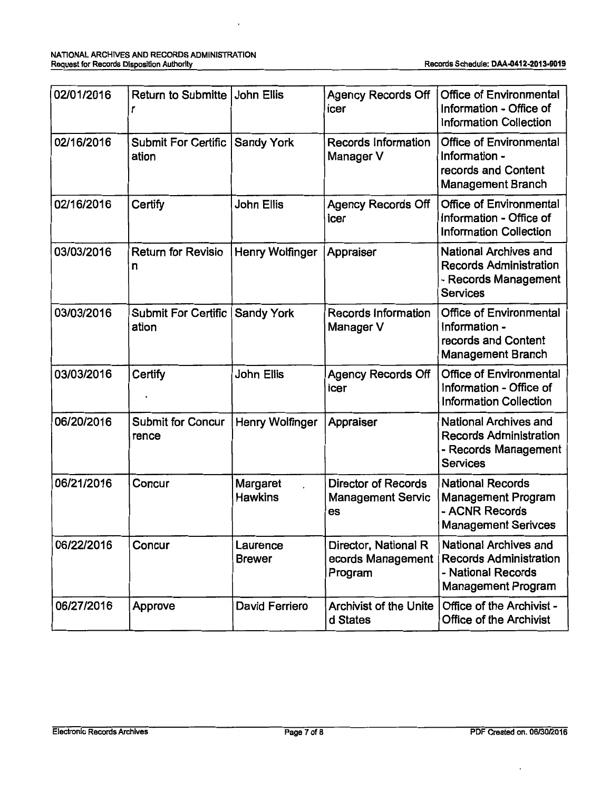| 02/01/2016 | Return to Submitte John Ellis       |                            | <b>Agency Records Off</b><br>icer                            | <b>Office of Environmental</b><br>Information - Office of<br><b>Information Collection</b>                |
|------------|-------------------------------------|----------------------------|--------------------------------------------------------------|-----------------------------------------------------------------------------------------------------------|
| 02/16/2016 | Submit For Certific<br>ation        | <b>Sandy York</b>          | <b>Records Information</b><br>Manager V                      | <b>Office of Environmental</b><br>Information -<br>records and Content<br><b>Management Branch</b>        |
| 02/16/2016 | Certify                             | John Ellis                 | <b>Agency Records Off</b><br>icer                            | <b>Office of Environmental</b><br>Information - Office of<br><b>Information Collection</b>                |
| 03/03/2016 | <b>Return for Revisio</b><br>n      | Henry Wolfinger            | Appraiser                                                    | National Archives and<br><b>Records Administration</b><br>- Records Management<br><b>Services</b>         |
| 03/03/2016 | <b>Submit For Certific</b><br>ation | <b>Sandy York</b>          | Records Information<br>Manager V                             | <b>Office of Environmental</b><br>Information -<br>records and Content<br><b>Management Branch</b>        |
| 03/03/2016 | Certify                             | John Ellis                 | <b>Agency Records Off</b><br>icer                            | <b>Office of Environmental</b><br>Information - Office of<br><b>Information Collection</b>                |
| 06/20/2016 | <b>Submit for Concur</b><br>rence   | <b>Henry Wolfinger</b>     | Appraiser                                                    | National Archives and<br><b>Records Administration</b><br>- Records Management<br><b>Services</b>         |
| 06/21/2016 | Concur                              | Margaret<br><b>Hawkins</b> | <b>Director of Records</b><br><b>Management Servic</b><br>es | <b>National Records</b><br><b>Management Program</b><br>- ACNR Records<br><b>Management Serivces</b>      |
| 06/22/2016 | Concur                              | Laurence<br><b>Brewer</b>  | Director, National R<br>ecords Management<br>Program         | National Archives and<br><b>Records Administration</b><br>- National Records<br><b>Management Program</b> |
| 06/27/2016 | Approve                             | David Ferriero             | <b>Archivist of the Unite</b><br>d States                    | Office of the Archivist -<br><b>Office of the Archivist</b>                                               |

 $\overline{\phantom{a}}$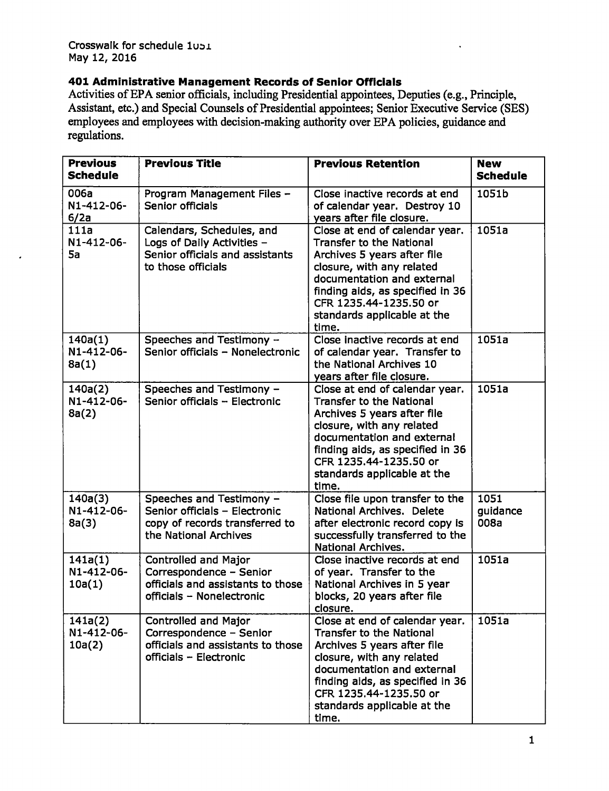### **401 Administrative Management Records of Senior Officials**

Activities of EPA senior officials, including Presidential appointees, Deputies (e.g., Principle, Assistant, etc.) and Special Counsels of Presidential appointees; Senior Executive Service (SES) employees and employees with decision-making authority over EPA policies, guidance and regulations.

| <b>Previous</b><br><b>Schedule</b> | <b>Previous Title</b>                                                                                                    | <b>Previous Retention</b>                                                                                                                                                                                                                                         | <b>New</b><br><b>Schedule</b> |
|------------------------------------|--------------------------------------------------------------------------------------------------------------------------|-------------------------------------------------------------------------------------------------------------------------------------------------------------------------------------------------------------------------------------------------------------------|-------------------------------|
| 006a<br>N1-412-06-<br>6/2a         | Program Management Files -<br>Senior officials                                                                           | Close inactive records at end<br>of calendar year. Destroy 10<br>vears after file closure.                                                                                                                                                                        | 1051b                         |
| 111a<br>N1-412-06-<br>5a           | Calendars, Schedules, and<br>Logs of Daily Activities -<br>Senior officials and assistants<br>to those officials         | Close at end of calendar year.<br><b>Transfer to the National</b><br>Archives 5 years after file<br>closure, with any related<br>documentation and external<br>finding aids, as specified in 36<br>CFR 1235.44-1235.50 or<br>standards applicable at the<br>time. | 1051a                         |
| 140a(1)<br>N1-412-06-<br>8a(1)     | Speeches and Testimony -<br>Senior officials - Nonelectronic                                                             | Close inactive records at end<br>of calendar year. Transfer to<br>the National Archives 10<br>years after file closure.                                                                                                                                           | 1051a                         |
| 140a(2)<br>N1-412-06-<br>8a(2)     | Speeches and Testimony -<br>Senior officials - Electronic                                                                | Close at end of calendar year.<br><b>Transfer to the National</b><br>Archives 5 years after file<br>closure, with any related<br>documentation and external<br>finding aids, as specified in 36<br>CFR 1235.44-1235.50 or<br>standards applicable at the<br>time. | 1051a                         |
| 140a(3)<br>N1-412-06-<br>8a(3)     | Speeches and Testimony -<br>Senior officials - Electronic<br>copy of records transferred to<br>the National Archives     | Close file upon transfer to the<br>National Archives, Delete<br>after electronic record copy is<br>successfully transferred to the<br>National Archives.                                                                                                          | 1051<br>guidance<br>008a      |
| 141a(1)<br>N1-412-06-<br>10a(1)    | <b>Controlled and Major</b><br>Correspondence - Senior<br>officials and assistants to those<br>officials - Nonelectronic | Close inactive records at end<br>of year. Transfer to the<br>National Archives in 5 year<br>blocks, 20 years after file<br>closure.                                                                                                                               | 1051a                         |
| 141a(2)<br>N1-412-06-<br>10a(2)    | <b>Controlled and Major</b><br>Correspondence - Senior<br>officials and assistants to those<br>officials - Electronic    | Close at end of calendar year.<br><b>Transfer to the National</b><br>Archives 5 years after file<br>closure, with any related<br>documentation and external<br>finding aids, as specified in 36<br>CFR 1235.44-1235.50 or<br>standards applicable at the<br>time. | 1051a                         |